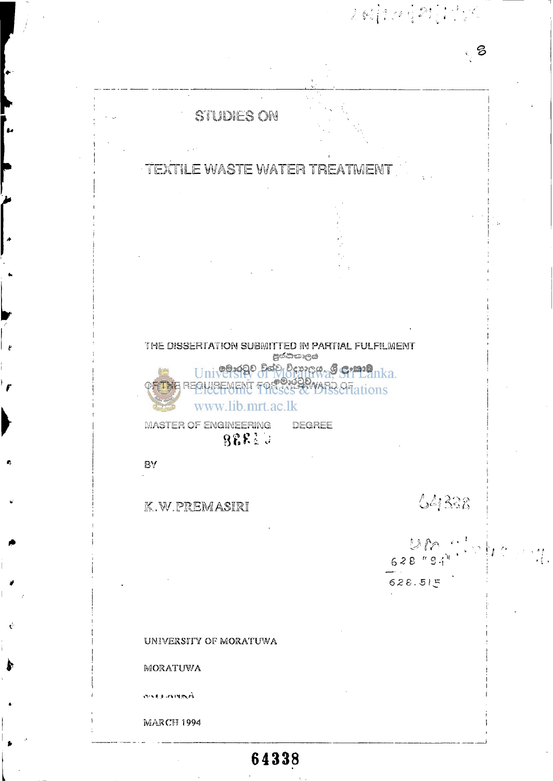

UNIVERSITY OF MORATUWA

MORATUWA

**GARANTIEL CARD** 

MARCH **1994** 

# **64338**

**628.5! ^** 

 $628''94''$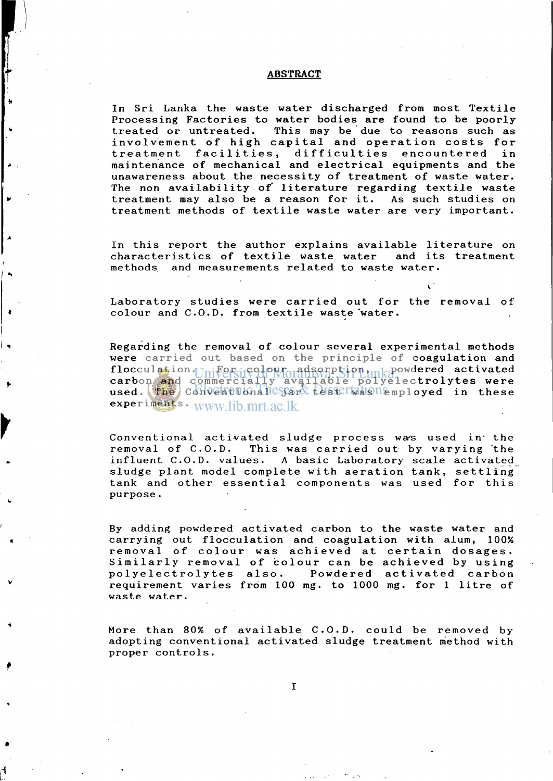#### **ABSTRACT**

In Sri Lanka the waste water discharged from most Textile Processing Factories to water bodies are found to be poorly treated or untreated. This may be due to reasons such as involvement of high capital and operation costs for treatment facilities , difficulties encountered in maintenance of mechanical and electrical equipments and the unawareness about the necessity of treatment of waste water. The non availability of literature regarding textile waste treatment may also be a reason for it. As such studies on treatment methods of textile waste water are very important.

In this report the author explains available literature on<br>characteristics of textile waste water and its treatment characteristics of textile waste water methods and measurements related to waste water.

Laboratory studies were carried out for the removal of colour and C.O.D. from textile waste water.

Regarding the removal of colour several experimental methods were carried out based on the principle of coagulation and flocculation.  $F_{\text{Ini}}$   $\text{Egr}_{\text{ci}}$  colour, adsorption,  $n_{\text{Ini}}$  powdered activated carbon and commercially available polyelectrolytes were used. The Conventuonal estand Lesterwas nemployed in these experiments. www.lib.mrt.ac.lk

Conventional activated sludge process was used in the removal of C.O.D. This was carried out by varying "the influent C.O.D. values. A basic Laboratory scale activated sludge plant model complete with aeration tank, settling tank and other essential components was used for this purpose.

By adding powdered activated carbon to the waste water and carrying out flocculation and coagulation with alum, 100% removal of colour was achieved at certain dosages . Similarly removal of colour can be achieved by using polyelectrolytes also. Powdered activated carbon requirement varies from 100 mg. to 1000 mg. for 1 litre of waste water.

More than 80% of available C.O.D. could be removed by adopting conventional activated sludge treatment method with proper controls.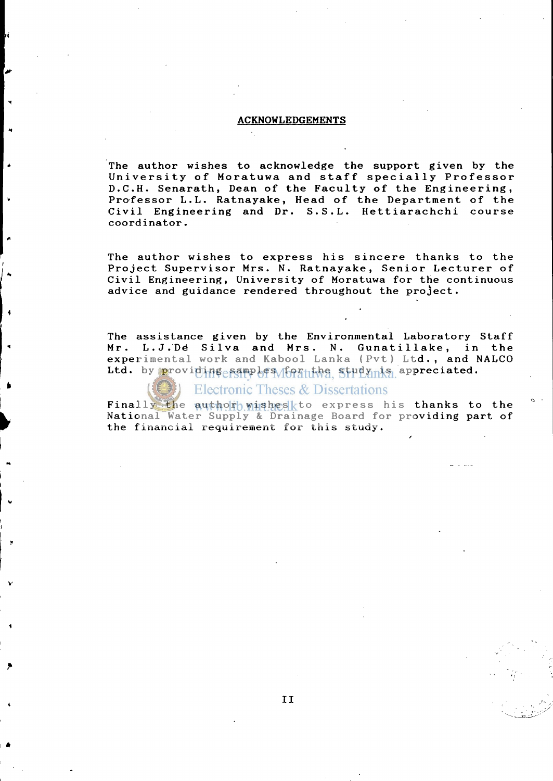#### **ACKNOWLEDGEMENTS**

The author wishes to acknowledge the support given by the University of Moratuwa and staff specially Professor D.C.H. Senarath, Dean of the Faculty of the Engineering, Professor L.L. Ratnayake, Head of the Department of the Civil Engineering and Dr. S.S.L. Hettiarachchi course coordinator.

The author wishes to express his sincere thanks to the Project Supervisor Mrs. N. Ratnayake, Senior Lecturer of Civil Engineering, University of Moratuwa for the continuous advice and guidance rendered throughout the project.

The assistance given by the Environmental Laboratory Staff Mr. L.J.De Silva and Mrs. N. Gunatillake, in the experimental work and Kabool Lanka (Pvt) Ltd., and NALCO Ltd. by providing samples for the study is appreciated.

Electronic Theses & Dissertations

Finally the author wishes to express his thanks to the National Water Supply & Drainage Board for providing part of the financial requirement for this study.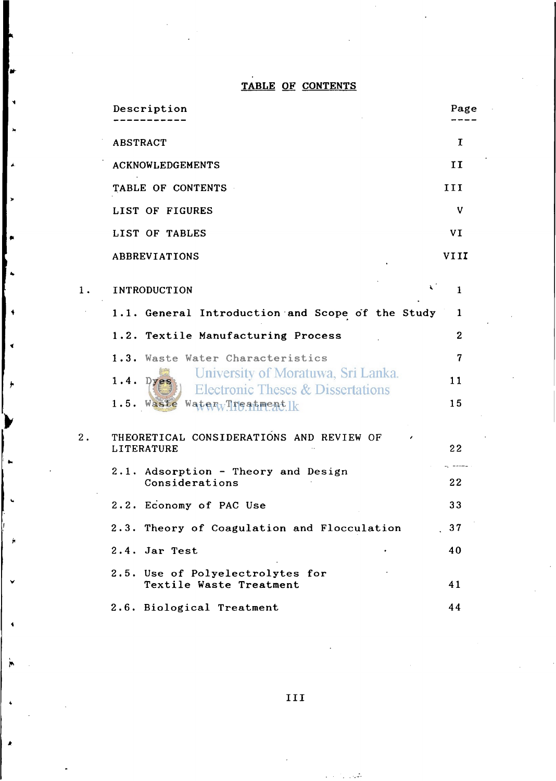### **TABLE OF CONTENTS**

|    | Description                                                                        | Page           |
|----|------------------------------------------------------------------------------------|----------------|
|    | <b>ABSTRACT</b>                                                                    | I              |
|    | <b>ACKNOWLEDGEMENTS</b>                                                            | II             |
|    | TABLE OF CONTENTS                                                                  | III            |
|    | <b>LIST OF FIGURES</b>                                                             | V              |
|    | LIST OF TABLES                                                                     | VI             |
|    | ABBREVIATIONS                                                                      | VI II          |
| 1. | रं<br>INTRODUCTION                                                                 | $\mathbf{1}$   |
|    | 1.1. General Introduction and Scope of the Study                                   | 1              |
|    | 1.2. Textile Manufacturing Process                                                 | $\mathbf{2}$   |
|    | 1.3. Waste Water Characteristics                                                   | $\overline{7}$ |
|    | University of Moratuwa, Sri Lanka.<br>1.4.<br>Dyes                                 | 11             |
|    | <b>Electronic Theses &amp; Dissertations</b><br>$W$ aterwTreatmentlk<br>1.5. Waste | 15             |
| 2. | THEORETICAL CONSIDERATIONS AND REVIEW OF<br>LITERATURE                             | 22             |
|    | 2.1. Adsorption - Theory and Design<br>Considerations                              | 22             |
|    | 2.2. Economy of PAC Use                                                            | 33             |
|    | 2.3. Theory of Coagulation and Flocculation                                        | 37             |
|    | 2.4. Jar Test                                                                      | 40             |
|    | 2.5. Use of Polyelectrolytes for<br>Textile Waste Treatment                        | 41             |
|    | 2.6. Biological Treatment                                                          | 44             |

**>** 

 $\ddot{\bullet}$ 

 $\mathbf{d}$ 

 $\star$ 

 $\sim 100$  km  $^{-2}$  $\mathcal{L}$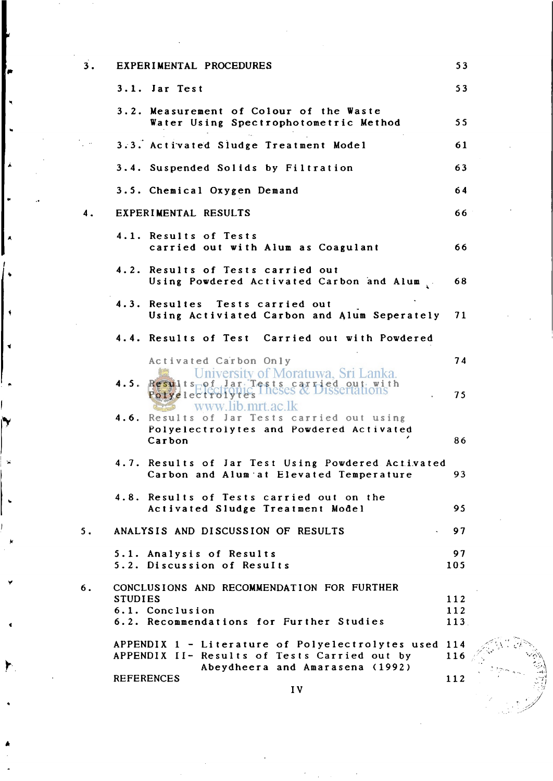| 3. | EXPERIMENTAL PROCEDURES                                                                                                                 | 53                 |
|----|-----------------------------------------------------------------------------------------------------------------------------------------|--------------------|
|    | 3.1. Jar Test                                                                                                                           | 53                 |
|    | 3.2. Measurement of Colour of the Waste<br>Water Using Spectrophotometric Method                                                        | 55                 |
|    | 3.3. Activated Sludge Treatment Model                                                                                                   | 61                 |
|    | 3.4. Suspended Solids by Filtration                                                                                                     | 63                 |
|    | 3.5. Chemical Oxygen Demand                                                                                                             | 64                 |
| 4. | EXPERIMENTAL RESULTS                                                                                                                    | 66                 |
|    | 4.1. Results of Tests<br>carried out with Alum as Coagulant                                                                             | 66                 |
|    | 4.2. Results of Tests carried out<br>Using Powdered Activated Carbon and Alum                                                           | 68                 |
|    | 4.3. Resultes Tests carried out<br>Using Activiated Carbon and Alum Seperately                                                          | 71                 |
|    | 4.4. Results of Test Carried out with Powdered                                                                                          |                    |
|    | Activated Carbon Only<br>1.5. Results of Jar. Tests est Lied out in the Polyele etrolynes I heses & Dissertations                       | 74<br>75           |
|    | www.lib.mrt.ac.lk<br>4.6. Results of Jar Tests carried out using<br>Polyelectrolytes and Powdered Activated<br>Carbon                   | 86                 |
|    | 4.7. Results of Jar Test Using Powdered Activated<br>Carbon and Alum at Elevated Temperature                                            | 93                 |
|    | 4.8. Results of Tests carried out on the<br>Activated Sludge Treatment Model                                                            | 95                 |
| 5. | ANALYSIS AND DISCUSSION OF RESULTS                                                                                                      | 97                 |
|    | 5.1. Analysis of Results<br>5.2. Discussion of Results                                                                                  | 97<br>105          |
| 6. | CONCLUSIONS AND RECOMMENDATION FOR FURTHER<br><b>STUDIES</b><br>6.1. Conclusion<br>6.2. Recommendations for Further Studies             | 112<br>112<br>113. |
|    | APPENDIX 1 - Literature of Polyelectrolytes used 114<br>APPENDIX II- Results of Tests Carried out by<br>Abeydheera and Amarasena (1992) | 116                |
|    | <b>REFERENCES</b><br>IV                                                                                                                 | 112                |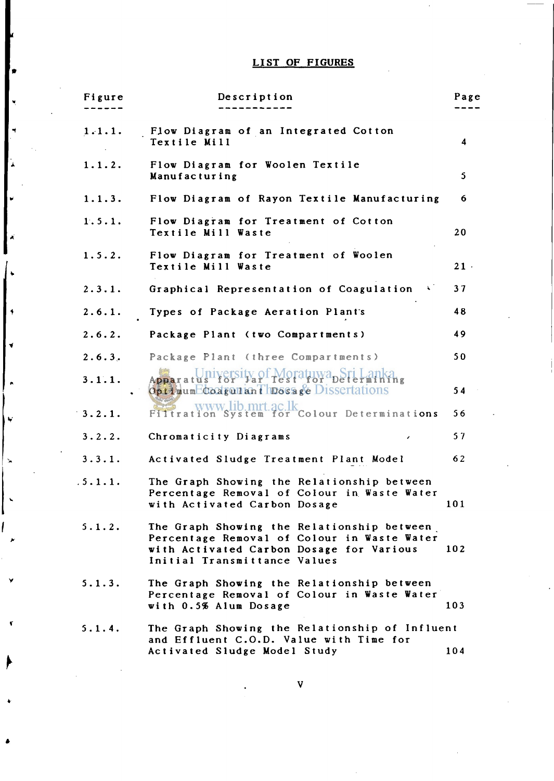## **LIST OF FIGURES**

**K** 

 $\ddot{}\,$ 

 $\lambda$ 

| Figure  | Description                                                                                                                                                           | Page                    |
|---------|-----------------------------------------------------------------------------------------------------------------------------------------------------------------------|-------------------------|
| 1.1.1.  | Flow Diagram of an Integrated Cotton<br>Textile Mill                                                                                                                  | $\overline{\mathbf{4}}$ |
| 1.1.2.  | Flow Diagram for Woolen Textile<br>Manufacturing                                                                                                                      | 5                       |
| 1.1.3.  | Flow Diagram of Rayon Textile Manufacturing                                                                                                                           | 6.                      |
| 1.5.1.  | Flow Diagram for Treatment of Cotton<br>Textile Mill Waste                                                                                                            | 20                      |
| 1.5.2.  | Flow Diagram for Treatment of Woolen<br>Textile Mill Waste                                                                                                            | 21                      |
| 2.3.1.  | Graphical Representation of Coagulation<br>$\mathcal{L}(\mathbf{X})$                                                                                                  | 37                      |
| 2.6.1.  | Types of Package Aeration Plant's                                                                                                                                     | 48                      |
| 2.6.2.  | Package Plant (two Compartments)                                                                                                                                      | 49                      |
| 2.6.3.  | Package Plant (three Compartments)                                                                                                                                    | 50                      |
| 3.1.1.  | Apparatus recity of Moratuwa per Lankang<br>Optimum Coagulari Dosage Dissertations                                                                                    | 54                      |
| 3.2.1.  | Filtration System for Colour Determinations                                                                                                                           | 56                      |
| 3.2.2.  | Chromaticity Diagrams<br>$\overline{\phantom{a}}$                                                                                                                     | 57                      |
| 3.3.1.  | Activated Sludge Treatment Plant Model                                                                                                                                | 62                      |
| .5.1.1. | The Graph Showing the Relationship between<br>Percentage Removal of Colour in Waste Water<br>with Activated Carbon Dosage                                             | 101                     |
| 5.1.2.  | The Graph Showing the Relationship between<br>Percentage Removal of Colour in Waste Water<br>with Activated Carbon Dosage for Various<br>Initial Transmittance Values | 102                     |
| 5.1.3.  | The Graph Showing the Relationship between<br>Percentage Removal of Colour in Waste Water<br>with 0.5% Alum Dosage                                                    | 103                     |
| 5.1.4.  | The Graph Showing the Relationship of Influent<br>and Effluent C.O.D. Value with Time for<br>Activated Sludge Model Study                                             | 104                     |
|         |                                                                                                                                                                       |                         |

 $\overline{\mathbf{V}}$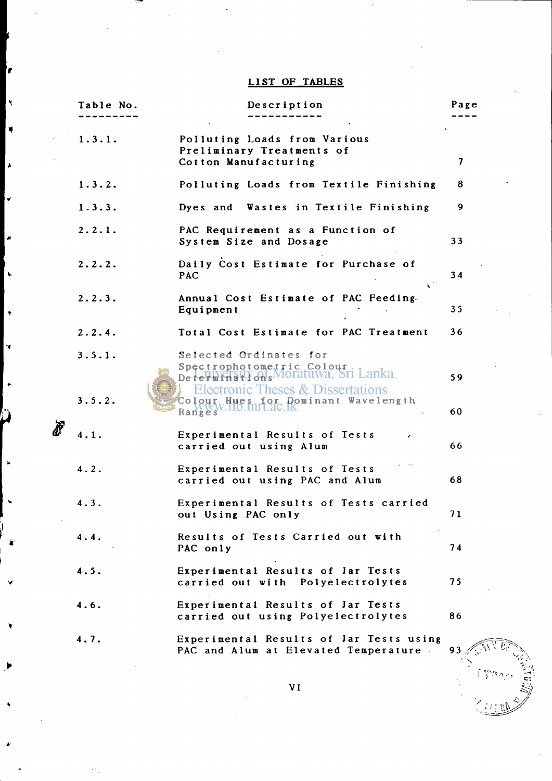### **LIST OF TABLES**

P

 $\bar{\mathbf{X}}$ 

۳

 $\lambda$ 

À,

 $\ddot{\phantom{0}}$ 

÷

**P** 

| Table No.        | Description                                                                                                                                                                       | Page     |
|------------------|-----------------------------------------------------------------------------------------------------------------------------------------------------------------------------------|----------|
| 1.3.1.           | Polluting Loads from Various<br>Preliminary Treatments of<br>Cotton Manufacturing                                                                                                 | 7        |
| 1.3.2.           | Polluting Loads from Textile Finishing                                                                                                                                            | 8        |
| 1.3.3.           | Dyes and Wastes in Textile Finishing                                                                                                                                              | 9        |
| 2.2.1.           | PAC Requirement as a Function of<br>System Size and Dosage                                                                                                                        | 33       |
| 2.2.2.           | Daily Cost Estimate for Purchase of<br><b>PAC</b>                                                                                                                                 | 34       |
| 2.2.3.           | Annual Cost Estimate of PAC Feeding.<br>Equipment                                                                                                                                 | 35       |
| 2.2.4.           | Total Cost Estimate for PAC Treatment                                                                                                                                             | 36       |
| 3.5.1.<br>3.5.2. | Selected Ordinates for<br>Spectrophotometric Colour<br>Determinations Moratuwa, Sri Lanka.<br><b>Electronic Theses &amp; Dissertations</b><br>Colour Hues for Dominant Wavelength | 59       |
| 4.1.             | $\mathsf{Ran}_\mathcal{B}^W$ $\mathsf{W}_{\mathcal{S}}^W$ .110. mrt. ac.<br>Experimental Results of Tests<br>carried out using Alum                                               | 60<br>66 |
| 4.2.             | Experimental Results of Tests<br>carried out using PAC and Alum                                                                                                                   | 68       |
| 4.3.             | Experimental Results of Tests carried<br>out Using PAC only                                                                                                                       | 71       |
| 4.4.             | Results of Tests Carried out with<br>PAC only                                                                                                                                     | 74       |
| 4.5.             | Experimental Results of Jar Tests<br>carried out with Polyelectrolytes                                                                                                            | 75       |
| 4.6.             | Experimental Results of Jar Tests<br>carried out using Polyelectrolytes                                                                                                           | 86       |
| 4.7.             | Experimental Results of Jar Tests using<br>PAC and Alum at Elevated Temperature                                                                                                   | 93       |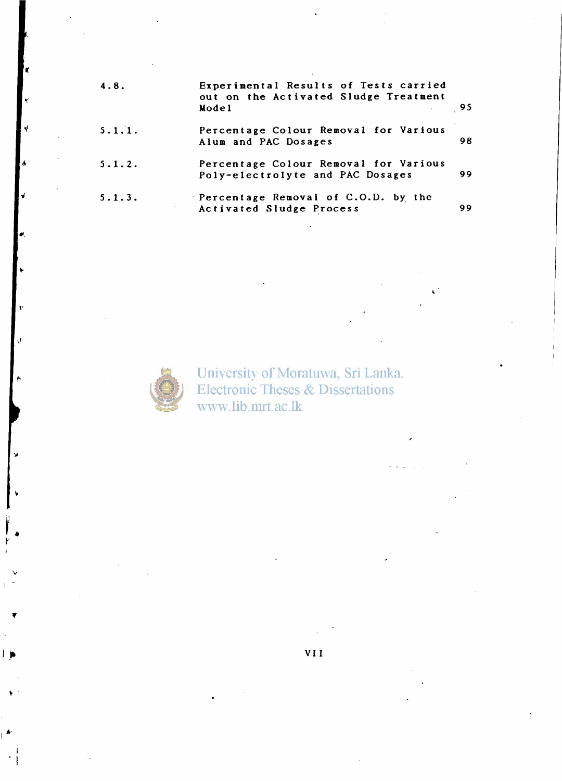| 4.8.   | Experimental Results of Tests carried<br>out on the Activated Sludge Treatment<br>Mode1 | - 95 |
|--------|-----------------------------------------------------------------------------------------|------|
| 5.1.1. | Percentage Colour Removal for Various<br>Alum and PAC Dosages                           | 98   |
| 5.1.2. | Percentage Colour Removal for Various<br>Poly-electrolyte and PAC Dosages               | 99   |
| 5.1.3. | Percentage Removal of C.O.D. by the<br>Activated Sludge Process                         | 99   |



University of Moratuwa, Sri Lanka. **Electronic Theses & Dissertations** www.lib.mrt.ac.lk

**V II**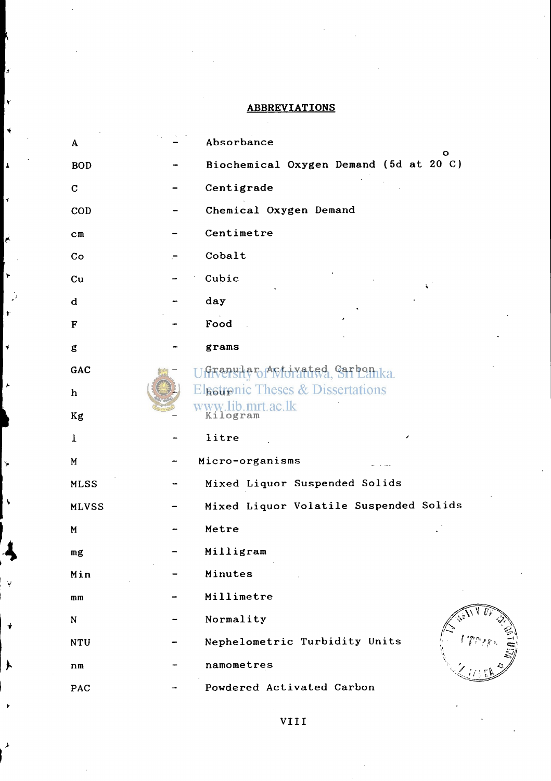#### **ABBREVIATIONS**

'n.

Ł

 $\ddot{\phantom{1}}$ 

 $\pmb{\lambda}$ 

 $\overline{\mathbf{r}}$ 

۳

÷

Ÿ

Ý.

÷

Ì.

| A              | Absorbance                                   |
|----------------|----------------------------------------------|
| <b>BOD</b>     | о<br>Biochemical Oxygen Demand (5d at 20 C)  |
| $\mathbf C$    | Centigrade                                   |
| <b>COD</b>     | Chemical Oxygen Demand                       |
| $\mathbf{c}$ m | Centimetre                                   |
| Co             | Cobalt                                       |
| $cu$           | Cubic                                        |
| d              | day                                          |
| F              | Food                                         |
| g              | grams                                        |
| GAC            | Granular Activated Carbon ka.                |
| h              | <b>Elgetronic Theses &amp; Dissertations</b> |
| Kg             | www.lib.mrt.ac.lk<br>Kilogram                |
| $\mathbf{1}$   | litre                                        |
| M              | Micro-organisms                              |
| <b>MLSS</b>    | Mixed Liquor Suspended Solids                |
| <b>MLVSS</b>   | Mixed Liquor Volatile Suspended Solids       |
| M              | Metre                                        |
| mg             | Milligram                                    |
| Min            | Minutes                                      |
| mm             | Millimetre                                   |
| ${\bf N}$      | Normality                                    |
| <b>NTU</b>     | Nephelometric Turbidity Units                |
| n <sub>m</sub> | namometres                                   |
| PAC            | Powdered Activated Carbon                    |

VIII